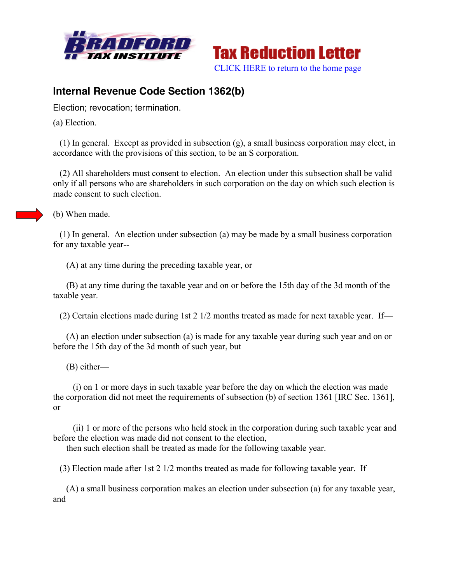



## **Internal Revenue Code Section 1362(b)**

Election; revocation; termination.

(a) Election.

 (1) In general. Except as provided in subsection (g), a small business corporation may elect, in accordance with the provisions of this section, to be an S corporation.

 (2) All shareholders must consent to election. An election under this subsection shall be valid only if all persons who are shareholders in such corporation on the day on which such election is made consent to such election.

(b) When made.

 (1) In general. An election under subsection (a) may be made by a small business corporation for any taxable year--

(A) at any time during the preceding taxable year, or

 (B) at any time during the taxable year and on or before the 15th day of the 3d month of the taxable year.

(2) Certain elections made during 1st 2 1/2 months treated as made for next taxable year. If—

 (A) an election under subsection (a) is made for any taxable year during such year and on or before the 15th day of the 3d month of such year, but

(B) either—

 (i) on 1 or more days in such taxable year before the day on which the election was made the corporation did not meet the requirements of subsection (b) of section 1361 [IRC Sec. 1361], or

 (ii) 1 or more of the persons who held stock in the corporation during such taxable year and before the election was made did not consent to the election,

then such election shall be treated as made for the following taxable year.

(3) Election made after 1st 2 1/2 months treated as made for following taxable year. If—

 (A) a small business corporation makes an election under subsection (a) for any taxable year, and